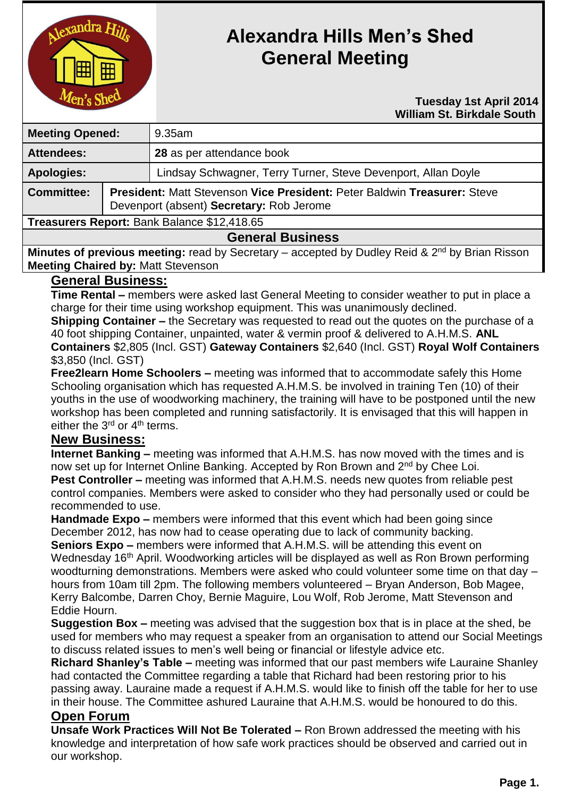

# **Alexandra Hills Men's Shed General Meeting**

#### **Tuesday 1st April 2014 William St. Birkdale South**

| <b>Meeting Opened:</b>                      |                                                                                                                      | $9.35$ am                                                     |
|---------------------------------------------|----------------------------------------------------------------------------------------------------------------------|---------------------------------------------------------------|
| <b>Attendees:</b>                           |                                                                                                                      | 28 as per attendance book                                     |
| <b>Apologies:</b>                           |                                                                                                                      | Lindsay Schwagner, Terry Turner, Steve Devenport, Allan Doyle |
| <b>Committee:</b>                           | President: Matt Stevenson Vice President: Peter Baldwin Treasurer: Steve<br>Devenport (absent) Secretary: Rob Jerome |                                                               |
| Treasurers Report: Bank Balance \$12,418.65 |                                                                                                                      |                                                               |
| Canaval Duaineae                            |                                                                                                                      |                                                               |

## **General Business**

**Minutes of previous meeting:** read by Secretary – accepted by Dudley Reid & 2<sup>nd</sup> by Brian Risson **Meeting Chaired by:** Matt Stevenson

## **General Business:**

**Time Rental –** members were asked last General Meeting to consider weather to put in place a charge for their time using workshop equipment. This was unanimously declined.

**Shipping Container –** the Secretary was requested to read out the quotes on the purchase of a 40 foot shipping Container, unpainted, water & vermin proof & delivered to A.H.M.S. **ANL Containers** \$2,805 (Incl. GST) **Gateway Containers** \$2,640 (Incl. GST) **Royal Wolf Containers** \$3,850 (Incl. GST)

**Free2learn Home Schoolers –** meeting was informed that to accommodate safely this Home Schooling organisation which has requested A.H.M.S. be involved in training Ten (10) of their youths in the use of woodworking machinery, the training will have to be postponed until the new workshop has been completed and running satisfactorily. It is envisaged that this will happen in either the  $3<sup>rd</sup>$  or  $4<sup>th</sup>$  terms.

## **New Business:**

**Internet Banking –** meeting was informed that A.H.M.S. has now moved with the times and is now set up for Internet Online Banking. Accepted by Ron Brown and 2<sup>nd</sup> by Chee Loi. **Pest Controller –** meeting was informed that A.H.M.S. needs new quotes from reliable pest control companies. Members were asked to consider who they had personally used or could be recommended to use.

**Handmade Expo –** members were informed that this event which had been going since December 2012, has now had to cease operating due to lack of community backing.

**Seniors Expo –** members were informed that A.H.M.S. will be attending this event on Wednesday 16<sup>th</sup> April. Woodworking articles will be displayed as well as Ron Brown performing woodturning demonstrations. Members were asked who could volunteer some time on that day – hours from 10am till 2pm. The following members volunteered – Bryan Anderson, Bob Magee, Kerry Balcombe, Darren Choy, Bernie Maguire, Lou Wolf, Rob Jerome, Matt Stevenson and Eddie Hourn.

**Suggestion Box –** meeting was advised that the suggestion box that is in place at the shed, be used for members who may request a speaker from an organisation to attend our Social Meetings to discuss related issues to men's well being or financial or lifestyle advice etc.

**Richard Shanley's Table –** meeting was informed that our past members wife Lauraine Shanley had contacted the Committee regarding a table that Richard had been restoring prior to his passing away. Lauraine made a request if A.H.M.S. would like to finish off the table for her to use in their house. The Committee ashured Lauraine that A.H.M.S. would be honoured to do this. **Open Forum** 

**Unsafe Work Practices Will Not Be Tolerated –** Ron Brown addressed the meeting with his knowledge and interpretation of how safe work practices should be observed and carried out in our workshop.